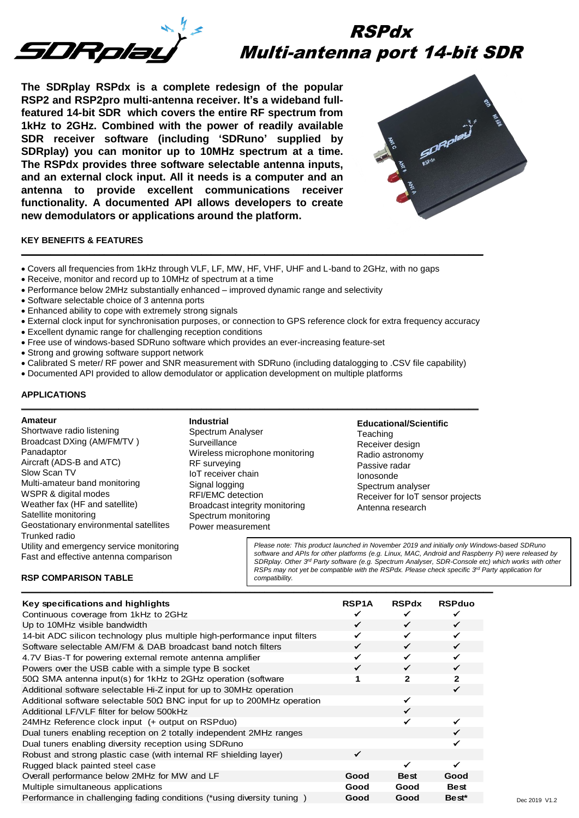

# RSPdx Multi-antenna port 14-bit SDR

**The SDRplay RSPdx is a complete redesign of the popular RSP2 and RSP2pro multi-antenna receiver. It's a wideband fullfeatured 14-bit SDR which covers the entire RF spectrum from 1kHz to 2GHz. Combined with the power of readily available SDR receiver software (including 'SDRuno' supplied by SDRplay) you can monitor up to 10MHz spectrum at a time. The RSPdx provides three software selectable antenna inputs, and an external clock input. All it needs is a computer and an antenna to provide excellent communications receiver functionality. A documented API allows developers to create new demodulators or applications around the platform.**



# **KEY BENEFITS & FEATURES**

- Covers all frequencies from 1kHz through VLF, LF, MW, HF, VHF, UHF and L-band to 2GHz, with no gaps
- Receive, monitor and record up to 10MHz of spectrum at a time
- Performance below 2MHz substantially enhanced improved dynamic range and selectivity
- Software selectable choice of 3 antenna ports
- Enhanced ability to cope with extremely strong signals
- External clock input for synchronisation purposes, or connection to GPS reference clock for extra frequency accuracy

**\_\_\_\_\_\_\_\_\_\_\_\_\_\_\_\_\_\_\_\_\_\_\_\_\_\_\_\_\_\_\_\_\_\_\_\_\_\_\_\_\_\_\_\_\_\_\_\_\_\_\_\_\_\_\_\_\_\_\_\_\_\_\_\_\_\_\_\_\_\_\_\_\_\_\_\_\_\_\_\_\_\_\_\_\_\_\_\_\_\_\_\_\_\_\_** 

- Excellent dynamic range for challenging reception conditions
- Free use of windows-based SDRuno software which provides an ever-increasing feature-set
- Strong and growing software support network
- Calibrated S meter/ RF power and SNR measurement with SDRuno (including datalogging to .CSV file capability)
- Documented API provided to allow demodulator or application development on multiple platforms

## **APPLICATIONS**

### **Amateur**

Shortwave radio listening Broadcast DXing (AM/FM/TV ) Panadaptor Aircraft (ADS-B and ATC) Slow Scan TV Multi-amateur band monitoring WSPR & digital modes Weather fax (HF and satellite) Satellite monitoring Geostationary environmental satellites Trunked radio Utility and emergency service monitoring Fast and effective antenna comparison

**RSP COMPARISON TABLE**

**Industrial** Spectrum Analyser **Surveillance** Wireless microphone monitoring RF surveying IoT receiver chain Signal logging RFI/EMC detection Broadcast integrity monitoring Spectrum monitoring Power measurement

**\_\_\_\_\_\_\_\_\_\_\_\_\_\_\_\_\_\_\_\_\_\_\_\_\_\_\_\_\_\_\_\_\_\_\_\_\_\_\_\_\_\_\_\_\_\_\_\_\_\_\_\_\_\_\_\_\_\_\_\_\_\_\_\_\_\_\_\_\_\_\_\_\_\_\_\_\_\_\_\_\_\_\_\_\_\_\_\_\_\_\_\_\_\_** 

**Educational/Scientific Teaching** Receiver design Radio astronomy Passive radar Ionosonde Spectrum analyser Receiver for IoT sensor projects Antenna research

*Please note: This product launched in November 2019 and initially only Windows-based SDRuno software and APIs for other platforms (e.g. Linux, MAC, Android and Raspberry Pi) were released by SDRplay. Other 3rd Party software (e.g. Spectrum Analyser, SDR-Console etc) which works with other RSPs may not yet be compatible with the RSPdx. Please check specific 3rd Party application for compatibility.*

| Key specifications and highlights                                               | <b>RSP1A</b> | <b>RSPdx</b> | <b>RSPduo</b> |
|---------------------------------------------------------------------------------|--------------|--------------|---------------|
| Continuous coverage from 1kHz to 2GHz                                           |              |              |               |
| Up to 10MHz visible bandwidth                                                   | ✓            | ✓            | $\checkmark$  |
| 14-bit ADC silicon technology plus multiple high-performance input filters      | ✓            | ✓            | ✓             |
| Software selectable AM/FM & DAB broadcast band notch filters                    | ✓            | $\checkmark$ | $\checkmark$  |
| 4.7V Bias-T for powering external remote antenna amplifier                      |              | ✓            |               |
| Powers over the USB cable with a simple type B socket                           | ✓            | ✓            | ✓             |
| $50\Omega$ SMA antenna input(s) for 1kHz to 2GHz operation (software            |              | 2            | $\mathbf{2}$  |
| Additional software selectable Hi-Z input for up to 30MHz operation             |              |              | ✓             |
| Additional software selectable 50 $\Omega$ BNC input for up to 200MHz operation |              |              |               |
| Additional LF/VLF filter for below 500kHz                                       |              |              |               |
| 24MHz Reference clock input (+ output on RSPduo)                                |              |              |               |
| Dual tuners enabling reception on 2 totally independent 2MHz ranges             |              |              |               |
| Dual tuners enabling diversity reception using SDRuno                           |              |              |               |
| Robust and strong plastic case (with internal RF shielding layer)               | ✓            |              |               |
| Rugged black painted steel case                                                 |              |              |               |
| Overall performance below 2MHz for MW and LF                                    | Good         | <b>Best</b>  | Good          |
| Multiple simultaneous applications                                              | Good         | Good         | <b>Best</b>   |
| Performance in challenging fading conditions (*using diversity tuning )         | Good         | Good         | Best*         |

**\_\_\_\_\_\_\_\_\_\_\_\_\_\_\_\_\_\_\_\_\_\_\_\_\_\_\_\_\_\_\_\_\_\_\_\_\_\_\_\_\_\_\_\_\_\_\_\_\_\_\_\_\_\_\_\_\_\_\_\_\_\_\_\_\_\_\_\_\_\_\_\_\_\_\_\_\_\_\_\_\_\_\_\_\_\_\_\_\_\_\_\_\_\_\_\_\_**